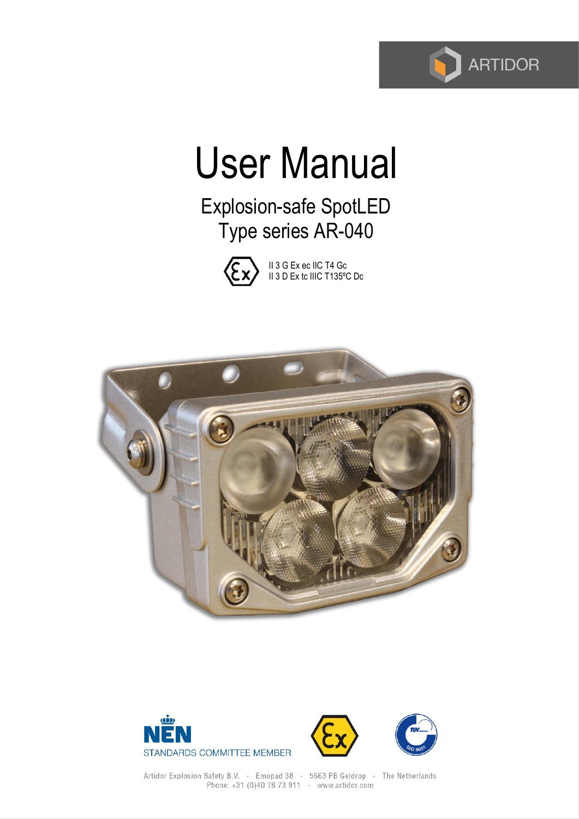

# User Manual

Explosion-safe SpotLED Type series AR-040



II 3 G Ex ec IIC T4 Gc II 3 D Ex tc IIIC T135ºC Dc





Artidor Explosion Safety B.V. - Emopad 38 - 5663 PB Geldrop - The Netherlands<br>Phone: +31 (0)40 78 73 911 - www.artidor.com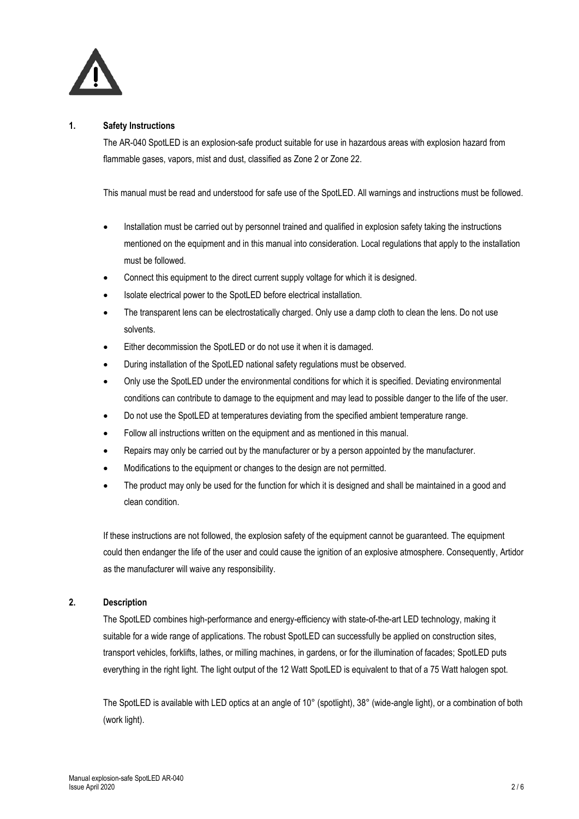

### **1. Safety Instructions**

The AR-040 SpotLED is an explosion-safe product suitable for use in hazardous areas with explosion hazard from flammable gases, vapors, mist and dust, classified as Zone 2 or Zone 22.

This manual must be read and understood for safe use of the SpotLED. All warnings and instructions must be followed.

- Installation must be carried out by personnel trained and qualified in explosion safety taking the instructions mentioned on the equipment and in this manual into consideration. Local regulations that apply to the installation must be followed.
- Connect this equipment to the direct current supply voltage for which it is designed.
- Isolate electrical power to the SpotLED before electrical installation.
- The transparent lens can be electrostatically charged. Only use a damp cloth to clean the lens. Do not use solvents.
- Either decommission the SpotLED or do not use it when it is damaged.
- During installation of the SpotLED national safety regulations must be observed.
- Only use the SpotLED under the environmental conditions for which it is specified. Deviating environmental conditions can contribute to damage to the equipment and may lead to possible danger to the life of the user.
- Do not use the SpotLED at temperatures deviating from the specified ambient temperature range.
- Follow all instructions written on the equipment and as mentioned in this manual.
- Repairs may only be carried out by the manufacturer or by a person appointed by the manufacturer.
- Modifications to the equipment or changes to the design are not permitted.
- The product may only be used for the function for which it is designed and shall be maintained in a good and clean condition.

If these instructions are not followed, the explosion safety of the equipment cannot be guaranteed. The equipment could then endanger the life of the user and could cause the ignition of an explosive atmosphere. Consequently, Artidor as the manufacturer will waive any responsibility.

### **2. Description**

The SpotLED combines high-performance and energy-efficiency with state-of-the-art LED technology, making it suitable for a wide range of applications. The robust SpotLED can successfully be applied on construction sites, transport vehicles, forklifts, lathes, or milling machines, in gardens, or for the illumination of facades; SpotLED puts everything in the right light. The light output of the 12 Watt SpotLED is equivalent to that of a 75 Watt halogen spot.

The SpotLED is available with LED optics at an angle of 10° (spotlight), 38° (wide-angle light), or a combination of both (work light).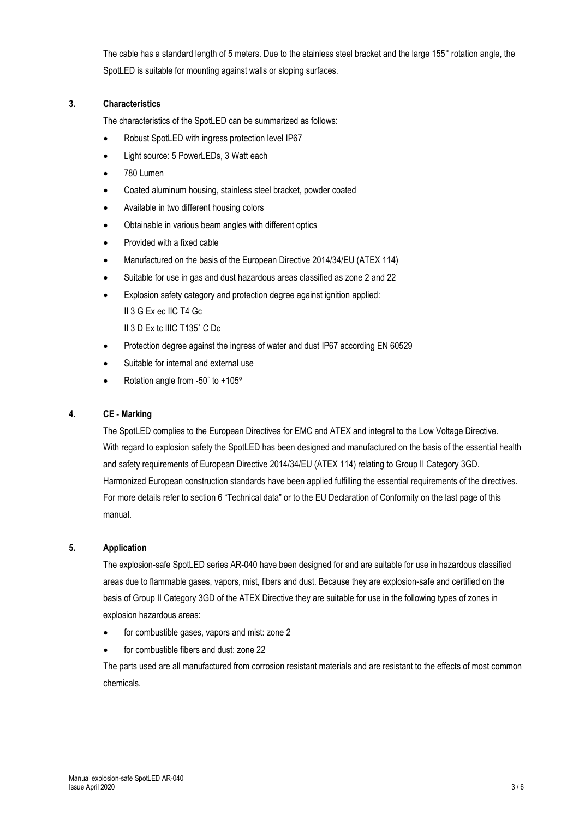The cable has a standard length of 5 meters. Due to the stainless steel bracket and the large 155° rotation angle, the SpotLED is suitable for mounting against walls or sloping surfaces.

### **3. Characteristics**

The characteristics of the SpotLED can be summarized as follows:

- Robust SpotLED with ingress protection level IP67
- Light source: 5 PowerLEDs, 3 Watt each
- 780 Lumen
- Coated aluminum housing, stainless steel bracket, powder coated
- Available in two different housing colors
- Obtainable in various beam angles with different optics
- Provided with a fixed cable
- Manufactured on the basis of the European Directive 2014/34/EU (ATEX 114)
- Suitable for use in gas and dust hazardous areas classified as zone 2 and 22
- Explosion safety category and protection degree against ignition applied: II 3 G Ex ec IIC T4 Gc II 3 D Ex tc IIIC T135˚ C Dc
- Protection degree against the ingress of water and dust IP67 according EN 60529
- Suitable for internal and external use
- Rotation angle from -50° to +105°

### **4. CE - Marking**

The SpotLED complies to the European Directives for EMC and ATEX and integral to the Low Voltage Directive. With regard to explosion safety the SpotLED has been designed and manufactured on the basis of the essential health and safety requirements of European Directive 2014/34/EU (ATEX 114) relating to Group II Category 3GD. Harmonized European construction standards have been applied fulfilling the essential requirements of the directives. For more details refer to section 6 "Technical data" or to the EU Declaration of Conformity on the last page of this manual.

### **5. Application**

The explosion-safe SpotLED series AR-040 have been designed for and are suitable for use in hazardous classified areas due to flammable gases, vapors, mist, fibers and dust. Because they are explosion-safe and certified on the basis of Group II Category 3GD of the ATEX Directive they are suitable for use in the following types of zones in explosion hazardous areas:

- for combustible gases, vapors and mist: zone 2
- for combustible fibers and dust: zone 22

The parts used are all manufactured from corrosion resistant materials and are resistant to the effects of most common chemicals.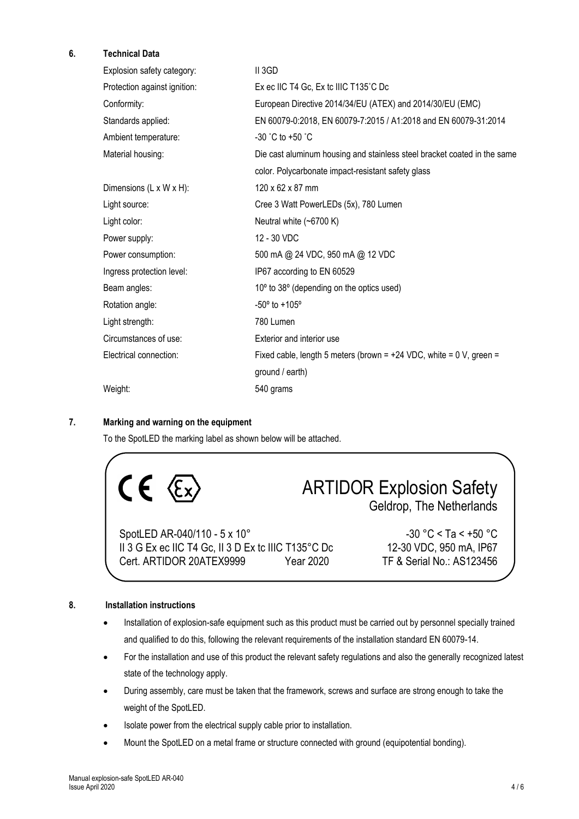### **6. Technical Data**

| Explosion safety category:   | II 3GD                                                                   |  |
|------------------------------|--------------------------------------------------------------------------|--|
| Protection against ignition: | Ex ec IIC T4 Gc, Ex tc IIIC T135°C Dc                                    |  |
| Conformity:                  | European Directive 2014/34/EU (ATEX) and 2014/30/EU (EMC)                |  |
| Standards applied:           | EN 60079-0:2018, EN 60079-7:2015 / A1:2018 and EN 60079-31:2014          |  |
| Ambient temperature:         | $-30$ °C to $+50$ °C                                                     |  |
| Material housing:            | Die cast aluminum housing and stainless steel bracket coated in the same |  |
|                              | color. Polycarbonate impact-resistant safety glass                       |  |
| Dimensions (L x W x H):      | 120 x 62 x 87 mm                                                         |  |
| Light source:                | Cree 3 Watt PowerLEDs (5x), 780 Lumen                                    |  |
| Light color:                 | Neutral white (~6700 K)                                                  |  |
| Power supply:                | 12 - 30 VDC                                                              |  |
| Power consumption:           | 500 mA @ 24 VDC, 950 mA @ 12 VDC                                         |  |
| Ingress protection level:    | IP67 according to EN 60529                                               |  |
| Beam angles:                 | 10° to 38° (depending on the optics used)                                |  |
| Rotation angle:              | $-50^{\circ}$ to $+105^{\circ}$                                          |  |
| Light strength:              | 780 Lumen                                                                |  |
| Circumstances of use:        | Exterior and interior use                                                |  |
| Electrical connection:       | Fixed cable, length 5 meters (brown = $+24$ VDC, white = 0 V, green =    |  |
|                              | ground / earth)                                                          |  |
| Weight:                      | 540 grams                                                                |  |

### **7. Marking and warning on the equipment**

To the SpotLED the marking label as shown below will be attached.

 $CE \&$ 

## ARTIDOR Explosion Safety

Geldrop, The Netherlands

SpotLED AR-040/110 - 5 x 10°  $-30$  °C < Ta < +50 °C II 3 G Ex ec IIC T4 Gc, II 3 D Ex tc IIIC T135°C Dc 12-30 VDC, 950 mA, IP67 Cert. ARTIDOR 20ATEX9999 Year 2020 TF & Serial No.: AS123456

### **8. Installation instructions**

- Installation of explosion-safe equipment such as this product must be carried out by personnel specially trained and qualified to do this, following the relevant requirements of the installation standard EN 60079-14.
- For the installation and use of this product the relevant safety regulations and also the generally recognized latest state of the technology apply.
- During assembly, care must be taken that the framework, screws and surface are strong enough to take the weight of the SpotLED.
- Isolate power from the electrical supply cable prior to installation.
- Mount the SpotLED on a metal frame or structure connected with ground (equipotential bonding).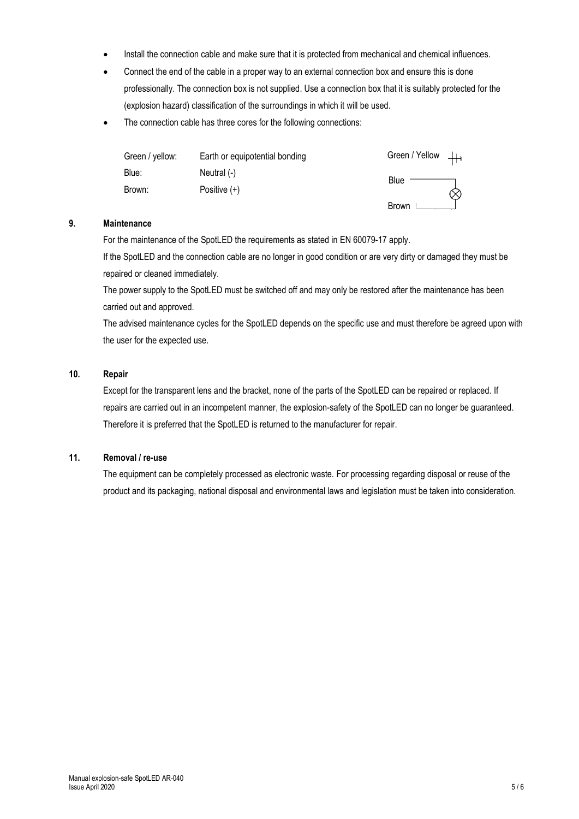- Install the connection cable and make sure that it is protected from mechanical and chemical influences.
- Connect the end of the cable in a proper way to an external connection box and ensure this is done professionally. The connection box is not supplied. Use a connection box that it is suitably protected for the (explosion hazard) classification of the surroundings in which it will be used.
- The connection cable has three cores for the following connections:

| Green / yellow: | Earth or equipotential bonding | Green / Yellow $+\!\!+\!\!$ |
|-----------------|--------------------------------|-----------------------------|
| Blue:           | Neutral (-)                    | <b>Blue</b>                 |
| Brown:          | Positive $(+)$                 | $\times$                    |
|                 |                                | <b>Brown</b>                |

### **9. Maintenance**

For the maintenance of the SpotLED the requirements as stated in EN 60079-17 apply.

If the SpotLED and the connection cable are no longer in good condition or are very dirty or damaged they must be repaired or cleaned immediately.

The power supply to the SpotLED must be switched off and may only be restored after the maintenance has been carried out and approved.

The advised maintenance cycles for the SpotLED depends on the specific use and must therefore be agreed upon with the user for the expected use.

#### **10. Repair**

Except for the transparent lens and the bracket, none of the parts of the SpotLED can be repaired or replaced. If repairs are carried out in an incompetent manner, the explosion-safety of the SpotLED can no longer be guaranteed. Therefore it is preferred that the SpotLED is returned to the manufacturer for repair.

### **11. Removal / re-use**

The equipment can be completely processed as electronic waste. For processing regarding disposal or reuse of the product and its packaging, national disposal and environmental laws and legislation must be taken into consideration.